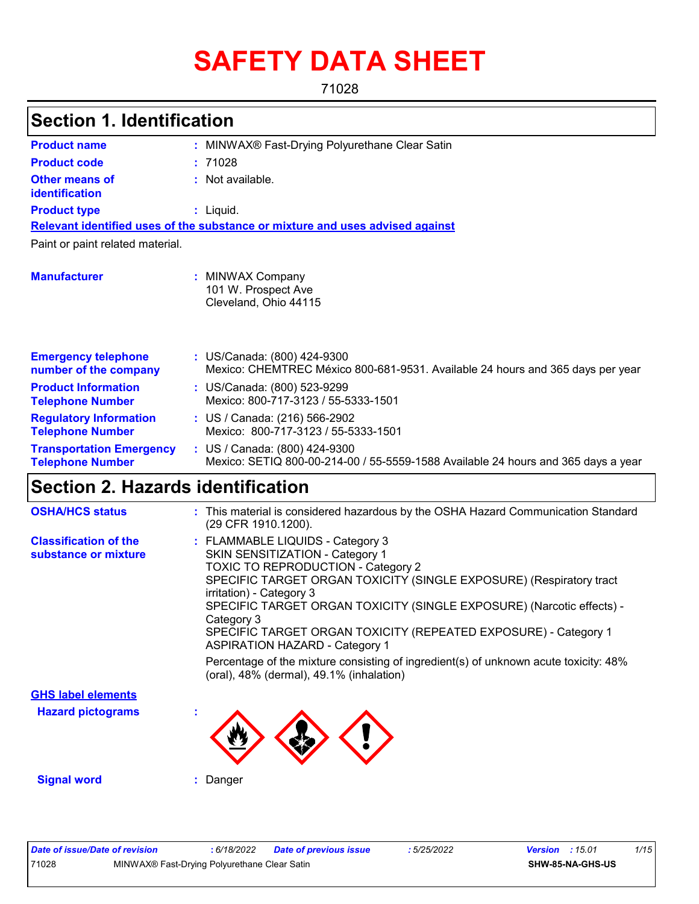# **SAFETY DATA SHEET**

71028

| <b>Section 1. Identification</b>                           |                                                                                                                    |  |  |
|------------------------------------------------------------|--------------------------------------------------------------------------------------------------------------------|--|--|
| <b>Product name</b>                                        | : MINWAX® Fast-Drying Polyurethane Clear Satin                                                                     |  |  |
| <b>Product code</b>                                        | :71028                                                                                                             |  |  |
| <b>Other means of</b><br><b>identification</b>             | : Not available.                                                                                                   |  |  |
| <b>Product type</b>                                        | $:$ Liquid.                                                                                                        |  |  |
|                                                            | Relevant identified uses of the substance or mixture and uses advised against                                      |  |  |
| Paint or paint related material.                           |                                                                                                                    |  |  |
| <b>Manufacturer</b>                                        | : MINWAX Company<br>101 W. Prospect Ave<br>Cleveland, Ohio 44115                                                   |  |  |
| <b>Emergency telephone</b><br>number of the company        | : US/Canada: (800) 424-9300<br>Mexico: CHEMTREC México 800-681-9531. Available 24 hours and 365 days per year      |  |  |
| <b>Product Information</b><br><b>Telephone Number</b>      | : US/Canada: (800) 523-9299<br>Mexico: 800-717-3123 / 55-5333-1501                                                 |  |  |
| <b>Regulatory Information</b><br><b>Telephone Number</b>   | : US / Canada: (216) 566-2902<br>Mexico: 800-717-3123 / 55-5333-1501                                               |  |  |
| <b>Transportation Emergency</b><br><b>Telephone Number</b> | : US / Canada: (800) 424-9300<br>Mexico: SETIQ 800-00-214-00 / 55-5559-1588 Available 24 hours and 365 days a year |  |  |
| Section 2. Hazards identification                          |                                                                                                                    |  |  |
| <b>OSHA/HCS status</b>                                     | : This material is considered hazardous by the OSHA Hazard Communication Standard<br>(29 CFR 1910.1200).           |  |  |

| <b>Classification of the</b> | : FLAMMABLE LIQUIDS - Category 3                                                                         |
|------------------------------|----------------------------------------------------------------------------------------------------------|
| substance or mixture         | <b>SKIN SENSITIZATION - Category 1</b>                                                                   |
|                              | <b>TOXIC TO REPRODUCTION - Category 2</b>                                                                |
|                              | SPECIFIC TARGET ORGAN TOXICITY (SINGLE EXPOSURE) (Respiratory tract<br>irritation) - Category 3          |
|                              | SPECIFIC TARGET ORGAN TOXICITY (SINGLE EXPOSURE) (Narcotic effects) -                                    |
|                              | Category 3                                                                                               |
|                              | SPECIFIC TARGET ORGAN TOXICITY (REPEATED EXPOSURE) - Category 1<br><b>ASPIRATION HAZARD - Category 1</b> |
|                              | Percentage of the mixture consisting of ingredient(s) of unknown acute toxicity: 48%                     |
|                              | (oral), 48% (dermal), 49.1% (inhalation)                                                                 |
| CHS label elements           |                                                                                                          |

**Hazard pictograms : GHS label elements**



**Signal word :** Danger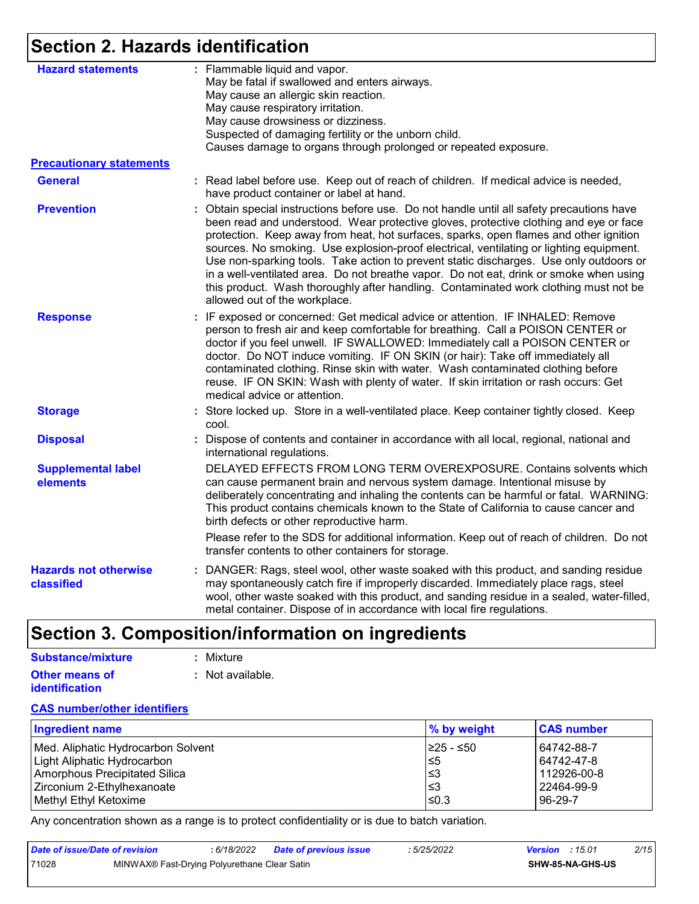# **Section 2. Hazards identification**

| <b>Hazard statements</b>                   | : Flammable liquid and vapor.<br>May be fatal if swallowed and enters airways.<br>May cause an allergic skin reaction.<br>May cause respiratory irritation.<br>May cause drowsiness or dizziness.<br>Suspected of damaging fertility or the unborn child.<br>Causes damage to organs through prolonged or repeated exposure.                                                                                                                                                                                                                                                                                                                                                        |
|--------------------------------------------|-------------------------------------------------------------------------------------------------------------------------------------------------------------------------------------------------------------------------------------------------------------------------------------------------------------------------------------------------------------------------------------------------------------------------------------------------------------------------------------------------------------------------------------------------------------------------------------------------------------------------------------------------------------------------------------|
| <b>Precautionary statements</b>            |                                                                                                                                                                                                                                                                                                                                                                                                                                                                                                                                                                                                                                                                                     |
| <b>General</b>                             | : Read label before use. Keep out of reach of children. If medical advice is needed,<br>have product container or label at hand.                                                                                                                                                                                                                                                                                                                                                                                                                                                                                                                                                    |
| <b>Prevention</b>                          | : Obtain special instructions before use. Do not handle until all safety precautions have<br>been read and understood. Wear protective gloves, protective clothing and eye or face<br>protection. Keep away from heat, hot surfaces, sparks, open flames and other ignition<br>sources. No smoking. Use explosion-proof electrical, ventilating or lighting equipment.<br>Use non-sparking tools. Take action to prevent static discharges. Use only outdoors or<br>in a well-ventilated area. Do not breathe vapor. Do not eat, drink or smoke when using<br>this product. Wash thoroughly after handling. Contaminated work clothing must not be<br>allowed out of the workplace. |
| <b>Response</b>                            | : IF exposed or concerned: Get medical advice or attention. IF INHALED: Remove<br>person to fresh air and keep comfortable for breathing. Call a POISON CENTER or<br>doctor if you feel unwell. IF SWALLOWED: Immediately call a POISON CENTER or<br>doctor. Do NOT induce vomiting. IF ON SKIN (or hair): Take off immediately all<br>contaminated clothing. Rinse skin with water. Wash contaminated clothing before<br>reuse. IF ON SKIN: Wash with plenty of water. If skin irritation or rash occurs: Get<br>medical advice or attention.                                                                                                                                      |
| <b>Storage</b>                             | : Store locked up. Store in a well-ventilated place. Keep container tightly closed. Keep<br>cool.                                                                                                                                                                                                                                                                                                                                                                                                                                                                                                                                                                                   |
| <b>Disposal</b>                            | : Dispose of contents and container in accordance with all local, regional, national and<br>international regulations.                                                                                                                                                                                                                                                                                                                                                                                                                                                                                                                                                              |
| <b>Supplemental label</b><br>elements      | DELAYED EFFECTS FROM LONG TERM OVEREXPOSURE. Contains solvents which<br>can cause permanent brain and nervous system damage. Intentional misuse by<br>deliberately concentrating and inhaling the contents can be harmful or fatal. WARNING:<br>This product contains chemicals known to the State of California to cause cancer and<br>birth defects or other reproductive harm.                                                                                                                                                                                                                                                                                                   |
|                                            | Please refer to the SDS for additional information. Keep out of reach of children. Do not<br>transfer contents to other containers for storage.                                                                                                                                                                                                                                                                                                                                                                                                                                                                                                                                     |
| <b>Hazards not otherwise</b><br>classified | : DANGER: Rags, steel wool, other waste soaked with this product, and sanding residue<br>may spontaneously catch fire if improperly discarded. Immediately place rags, steel<br>wool, other waste soaked with this product, and sanding residue in a sealed, water-filled,<br>metal container. Dispose of in accordance with local fire regulations.                                                                                                                                                                                                                                                                                                                                |

# **Section 3. Composition/information on ingredients**

#### **Other means of identification :** Not available. **Substance/mixture :** Mixture

#### **CAS number/other identifiers**

| Ingredient name                      | $\%$ by weight | <b>CAS number</b> |
|--------------------------------------|----------------|-------------------|
| Med. Aliphatic Hydrocarbon Solvent   | I≥25 - ≤50     | 64742-88-7        |
| Light Aliphatic Hydrocarbon          | $\leq 5$       | 64742-47-8        |
| <b>Amorphous Precipitated Silica</b> | 1≤3            | 112926-00-8       |
| Zirconium 2-Ethylhexanoate           | ≤3             | 22464-99-9        |
| Methyl Ethyl Ketoxime                | ≤0.3           | 96-29-7           |

Any concentration shown as a range is to protect confidentiality or is due to batch variation.

| Date of issue/Date of revision |                                              | 6/18/2022 | <b>Date of previous issue</b> | : 5/25/2022 | <b>Version</b> : $15.01$ |                         | 2/15 |
|--------------------------------|----------------------------------------------|-----------|-------------------------------|-------------|--------------------------|-------------------------|------|
| 71028                          | MINWAX® Fast-Drying Polyurethane Clear Satin |           |                               |             |                          | <b>SHW-85-NA-GHS-US</b> |      |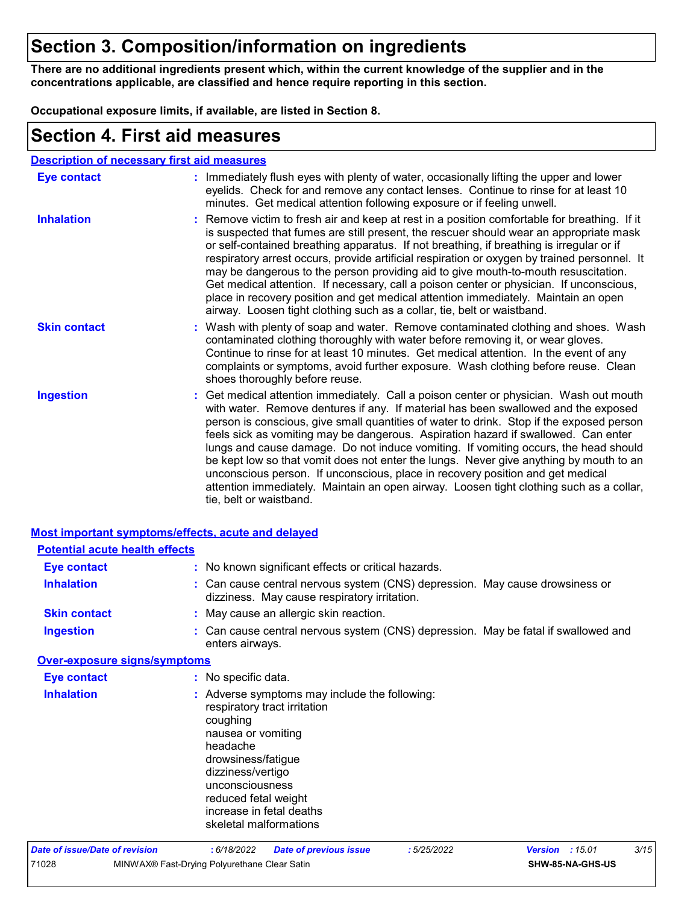# **Section 3. Composition/information on ingredients**

**There are no additional ingredients present which, within the current knowledge of the supplier and in the concentrations applicable, are classified and hence require reporting in this section.**

**Occupational exposure limits, if available, are listed in Section 8.**

### **Section 4. First aid measures**

#### **Description of necessary first aid measures**

| <b>Eye contact</b>  | : Immediately flush eyes with plenty of water, occasionally lifting the upper and lower<br>eyelids. Check for and remove any contact lenses. Continue to rinse for at least 10<br>minutes. Get medical attention following exposure or if feeling unwell.                                                                                                                                                                                                                                                                                                                                                                                                                                                                                               |
|---------------------|---------------------------------------------------------------------------------------------------------------------------------------------------------------------------------------------------------------------------------------------------------------------------------------------------------------------------------------------------------------------------------------------------------------------------------------------------------------------------------------------------------------------------------------------------------------------------------------------------------------------------------------------------------------------------------------------------------------------------------------------------------|
| <b>Inhalation</b>   | : Remove victim to fresh air and keep at rest in a position comfortable for breathing. If it<br>is suspected that fumes are still present, the rescuer should wear an appropriate mask<br>or self-contained breathing apparatus. If not breathing, if breathing is irregular or if<br>respiratory arrest occurs, provide artificial respiration or oxygen by trained personnel. It<br>may be dangerous to the person providing aid to give mouth-to-mouth resuscitation.<br>Get medical attention. If necessary, call a poison center or physician. If unconscious,<br>place in recovery position and get medical attention immediately. Maintain an open<br>airway. Loosen tight clothing such as a collar, tie, belt or waistband.                    |
| <b>Skin contact</b> | : Wash with plenty of soap and water. Remove contaminated clothing and shoes. Wash<br>contaminated clothing thoroughly with water before removing it, or wear gloves.<br>Continue to rinse for at least 10 minutes. Get medical attention. In the event of any<br>complaints or symptoms, avoid further exposure. Wash clothing before reuse. Clean<br>shoes thoroughly before reuse.                                                                                                                                                                                                                                                                                                                                                                   |
| <b>Ingestion</b>    | : Get medical attention immediately. Call a poison center or physician. Wash out mouth<br>with water. Remove dentures if any. If material has been swallowed and the exposed<br>person is conscious, give small quantities of water to drink. Stop if the exposed person<br>feels sick as vomiting may be dangerous. Aspiration hazard if swallowed. Can enter<br>lungs and cause damage. Do not induce vomiting. If vomiting occurs, the head should<br>be kept low so that vomit does not enter the lungs. Never give anything by mouth to an<br>unconscious person. If unconscious, place in recovery position and get medical<br>attention immediately. Maintain an open airway. Loosen tight clothing such as a collar,<br>tie, belt or waistband. |

|                                       | <b>Most important symptoms/effects, acute and delayed</b>                                                                                                                                                                                                               |
|---------------------------------------|-------------------------------------------------------------------------------------------------------------------------------------------------------------------------------------------------------------------------------------------------------------------------|
| <b>Potential acute health effects</b> |                                                                                                                                                                                                                                                                         |
| <b>Eye contact</b>                    | : No known significant effects or critical hazards.                                                                                                                                                                                                                     |
| <b>Inhalation</b>                     | : Can cause central nervous system (CNS) depression. May cause drowsiness or<br>dizziness. May cause respiratory irritation.                                                                                                                                            |
| <b>Skin contact</b>                   | : May cause an allergic skin reaction.                                                                                                                                                                                                                                  |
| <b>Ingestion</b>                      | : Can cause central nervous system (CNS) depression. May be fatal if swallowed and<br>enters airways.                                                                                                                                                                   |
| <b>Over-exposure signs/symptoms</b>   |                                                                                                                                                                                                                                                                         |
| <b>Eye contact</b>                    | : No specific data.                                                                                                                                                                                                                                                     |
| <b>Inhalation</b>                     | : Adverse symptoms may include the following:<br>respiratory tract irritation<br>coughing<br>nausea or vomiting<br>headache<br>drowsiness/fatigue<br>dizziness/vertigo<br>unconsciousness<br>reduced fetal weight<br>increase in fetal deaths<br>skeletal malformations |
| <b>Date of issue/Date of revision</b> | 3/15<br>: 6/18/2022<br>: 5/25/2022<br>:15.01<br><b>Date of previous issue</b><br><b>Version</b>                                                                                                                                                                         |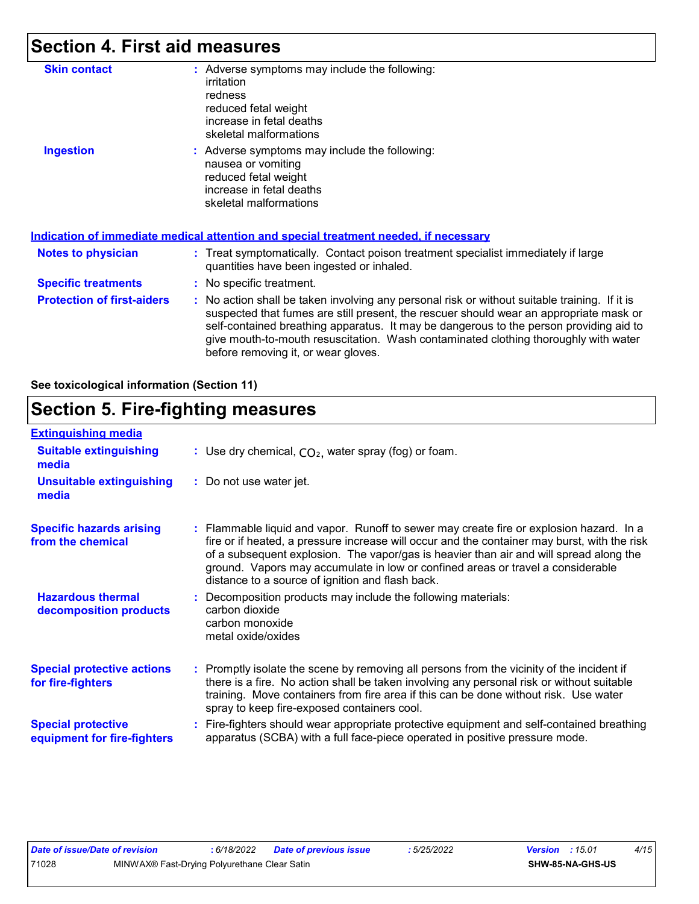# **Section 4. First aid measures**

| <b>Skin contact</b>               | : Adverse symptoms may include the following:<br>irritation<br>redness<br>reduced fetal weight<br>increase in fetal deaths<br>skeletal malformations                                                                                                                                                                                                                                                            |
|-----------------------------------|-----------------------------------------------------------------------------------------------------------------------------------------------------------------------------------------------------------------------------------------------------------------------------------------------------------------------------------------------------------------------------------------------------------------|
| <b>Ingestion</b>                  | : Adverse symptoms may include the following:<br>nausea or vomiting<br>reduced fetal weight<br>increase in fetal deaths<br>skeletal malformations                                                                                                                                                                                                                                                               |
|                                   | <u>Indication of immediate medical attention and special treatment needed, if necessary</u>                                                                                                                                                                                                                                                                                                                     |
| Notes to physician                | : Treat symptomatically. Contact poison treatment specialist immediately if large<br>quantities have been ingested or inhaled.                                                                                                                                                                                                                                                                                  |
| <b>Specific treatments</b>        | : No specific treatment.                                                                                                                                                                                                                                                                                                                                                                                        |
| <b>Protection of first-aiders</b> | : No action shall be taken involving any personal risk or without suitable training. If it is<br>suspected that fumes are still present, the rescuer should wear an appropriate mask or<br>self-contained breathing apparatus. It may be dangerous to the person providing aid to<br>give mouth-to-mouth resuscitation. Wash contaminated clothing thoroughly with water<br>before removing it, or wear gloves. |

**See toxicological information (Section 11)**

### **Section 5. Fire-fighting measures**

| <b>Extinguishing media</b>                               |                                                                                                                                                                                                                                                                                                                                                                                                                          |
|----------------------------------------------------------|--------------------------------------------------------------------------------------------------------------------------------------------------------------------------------------------------------------------------------------------------------------------------------------------------------------------------------------------------------------------------------------------------------------------------|
| <b>Suitable extinguishing</b><br>media                   | : Use dry chemical, $CO2$ , water spray (fog) or foam.                                                                                                                                                                                                                                                                                                                                                                   |
| <b>Unsuitable extinguishing</b><br>media                 | : Do not use water jet.                                                                                                                                                                                                                                                                                                                                                                                                  |
| <b>Specific hazards arising</b><br>from the chemical     | : Flammable liquid and vapor. Runoff to sewer may create fire or explosion hazard. In a<br>fire or if heated, a pressure increase will occur and the container may burst, with the risk<br>of a subsequent explosion. The vapor/gas is heavier than air and will spread along the<br>ground. Vapors may accumulate in low or confined areas or travel a considerable<br>distance to a source of ignition and flash back. |
| <b>Hazardous thermal</b><br>decomposition products       | Decomposition products may include the following materials:<br>carbon dioxide<br>carbon monoxide<br>metal oxide/oxides                                                                                                                                                                                                                                                                                                   |
| <b>Special protective actions</b><br>for fire-fighters   | : Promptly isolate the scene by removing all persons from the vicinity of the incident if<br>there is a fire. No action shall be taken involving any personal risk or without suitable<br>training. Move containers from fire area if this can be done without risk. Use water<br>spray to keep fire-exposed containers cool.                                                                                            |
| <b>Special protective</b><br>equipment for fire-fighters | Fire-fighters should wear appropriate protective equipment and self-contained breathing<br>apparatus (SCBA) with a full face-piece operated in positive pressure mode.                                                                                                                                                                                                                                                   |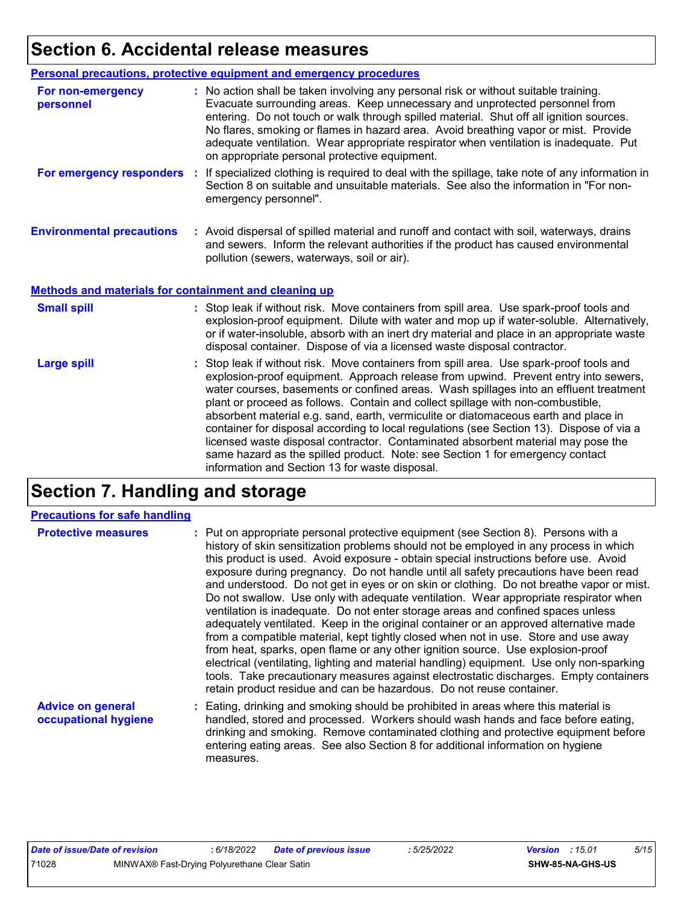# **Section 6. Accidental release measures**

|                                                              | Personal precautions, protective equipment and emergency procedures                                                                                                                                                                                                                                                                                                                                                                                                                             |
|--------------------------------------------------------------|-------------------------------------------------------------------------------------------------------------------------------------------------------------------------------------------------------------------------------------------------------------------------------------------------------------------------------------------------------------------------------------------------------------------------------------------------------------------------------------------------|
| For non-emergency<br>personnel                               | : No action shall be taken involving any personal risk or without suitable training.<br>Evacuate surrounding areas. Keep unnecessary and unprotected personnel from<br>entering. Do not touch or walk through spilled material. Shut off all ignition sources.<br>No flares, smoking or flames in hazard area. Avoid breathing vapor or mist. Provide<br>adequate ventilation. Wear appropriate respirator when ventilation is inadequate. Put<br>on appropriate personal protective equipment. |
| For emergency responders                                     | : If specialized clothing is required to deal with the spillage, take note of any information in<br>Section 8 on suitable and unsuitable materials. See also the information in "For non-<br>emergency personnel".                                                                                                                                                                                                                                                                              |
| <b>Environmental precautions</b>                             | : Avoid dispersal of spilled material and runoff and contact with soil, waterways, drains<br>and sewers. Inform the relevant authorities if the product has caused environmental<br>pollution (sewers, waterways, soil or air).                                                                                                                                                                                                                                                                 |
| <b>Methods and materials for containment and cleaning up</b> |                                                                                                                                                                                                                                                                                                                                                                                                                                                                                                 |
| <b>Small spill</b>                                           | : Stop leak if without risk. Move containers from spill area. Use spark-proof tools and<br>explosion-proof equipment. Dilute with water and mop up if water-soluble. Alternatively,<br>or if water-insoluble, absorb with an inert dry material and place in an appropriate waste                                                                                                                                                                                                               |
|                                                              | disposal container. Dispose of via a licensed waste disposal contractor.                                                                                                                                                                                                                                                                                                                                                                                                                        |

# **Section 7. Handling and storage**

#### **Precautions for safe handling**

| <b>Protective measures</b>                       | : Put on appropriate personal protective equipment (see Section 8). Persons with a<br>history of skin sensitization problems should not be employed in any process in which<br>this product is used. Avoid exposure - obtain special instructions before use. Avoid<br>exposure during pregnancy. Do not handle until all safety precautions have been read<br>and understood. Do not get in eyes or on skin or clothing. Do not breathe vapor or mist.<br>Do not swallow. Use only with adequate ventilation. Wear appropriate respirator when<br>ventilation is inadequate. Do not enter storage areas and confined spaces unless<br>adequately ventilated. Keep in the original container or an approved alternative made<br>from a compatible material, kept tightly closed when not in use. Store and use away<br>from heat, sparks, open flame or any other ignition source. Use explosion-proof<br>electrical (ventilating, lighting and material handling) equipment. Use only non-sparking<br>tools. Take precautionary measures against electrostatic discharges. Empty containers<br>retain product residue and can be hazardous. Do not reuse container. |
|--------------------------------------------------|----------------------------------------------------------------------------------------------------------------------------------------------------------------------------------------------------------------------------------------------------------------------------------------------------------------------------------------------------------------------------------------------------------------------------------------------------------------------------------------------------------------------------------------------------------------------------------------------------------------------------------------------------------------------------------------------------------------------------------------------------------------------------------------------------------------------------------------------------------------------------------------------------------------------------------------------------------------------------------------------------------------------------------------------------------------------------------------------------------------------------------------------------------------------|
| <b>Advice on general</b><br>occupational hygiene | : Eating, drinking and smoking should be prohibited in areas where this material is<br>handled, stored and processed. Workers should wash hands and face before eating,<br>drinking and smoking. Remove contaminated clothing and protective equipment before<br>entering eating areas. See also Section 8 for additional information on hygiene                                                                                                                                                                                                                                                                                                                                                                                                                                                                                                                                                                                                                                                                                                                                                                                                                     |

measures.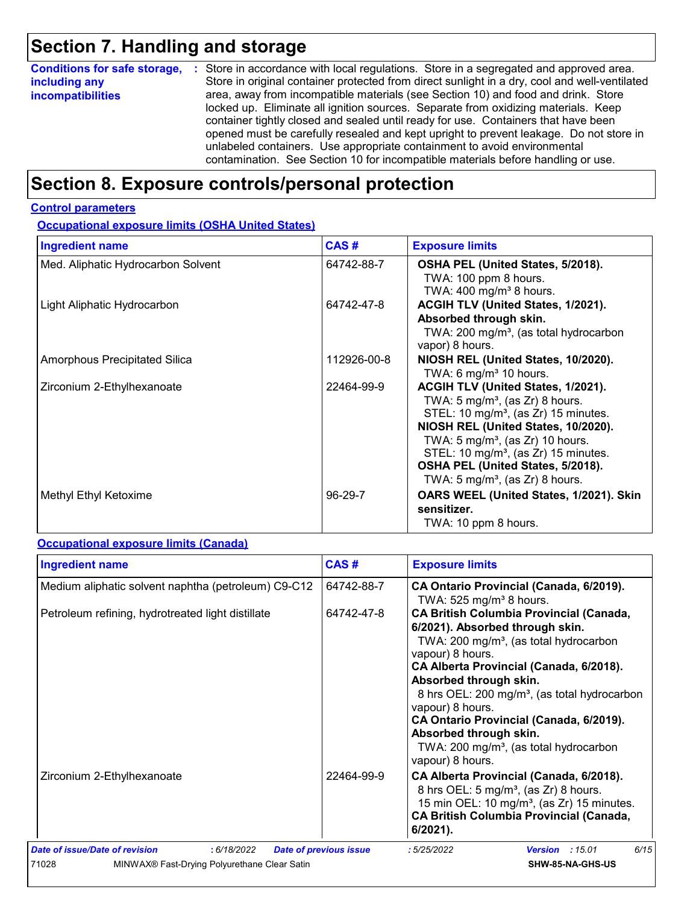# **Section 7. Handling and storage**

| <b>Conditions for safe storage,</b> | : Store in accordance with local regulations. Store in a segregated and approved area.        |
|-------------------------------------|-----------------------------------------------------------------------------------------------|
| including any                       | Store in original container protected from direct sunlight in a dry, cool and well-ventilated |
| <i>incompatibilities</i>            | area, away from incompatible materials (see Section 10) and food and drink. Store             |
|                                     | locked up. Eliminate all ignition sources. Separate from oxidizing materials. Keep            |
|                                     | container tightly closed and sealed until ready for use. Containers that have been            |
|                                     | opened must be carefully resealed and kept upright to prevent leakage. Do not store in        |
|                                     | unlabeled containers. Use appropriate containment to avoid environmental                      |
|                                     | contamination. See Section 10 for incompatible materials before handling or use.              |

# **Section 8. Exposure controls/personal protection**

#### **Control parameters**

**Occupational exposure limits (OSHA United States)**

| <b>Ingredient name</b>             | CAS#        | <b>Exposure limits</b>                                                                                                                                                                                                                                                                                                                                             |
|------------------------------------|-------------|--------------------------------------------------------------------------------------------------------------------------------------------------------------------------------------------------------------------------------------------------------------------------------------------------------------------------------------------------------------------|
| Med. Aliphatic Hydrocarbon Solvent | 64742-88-7  | OSHA PEL (United States, 5/2018).<br>TWA: 100 ppm 8 hours.<br>TWA: $400$ mg/m <sup>3</sup> 8 hours.                                                                                                                                                                                                                                                                |
| Light Aliphatic Hydrocarbon        | 64742-47-8  | ACGIH TLV (United States, 1/2021).<br>Absorbed through skin.<br>TWA: 200 mg/m <sup>3</sup> , (as total hydrocarbon<br>vapor) 8 hours.                                                                                                                                                                                                                              |
| Amorphous Precipitated Silica      | 112926-00-8 | NIOSH REL (United States, 10/2020).<br>TWA: 6 mg/m <sup>3</sup> 10 hours.                                                                                                                                                                                                                                                                                          |
| Zirconium 2-Ethylhexanoate         | 22464-99-9  | ACGIH TLV (United States, 1/2021).<br>TWA: $5 \text{ mg/m}^3$ , (as Zr) 8 hours.<br>STEL: 10 mg/m <sup>3</sup> , (as Zr) 15 minutes.<br>NIOSH REL (United States, 10/2020).<br>TWA: $5 \text{ mg/m}^3$ , (as Zr) 10 hours.<br>STEL: 10 mg/m <sup>3</sup> , (as Zr) 15 minutes.<br>OSHA PEL (United States, 5/2018).<br>TWA: 5 mg/m <sup>3</sup> , (as Zr) 8 hours. |
| Methyl Ethyl Ketoxime              | 96-29-7     | OARS WEEL (United States, 1/2021). Skin<br>sensitizer.<br>TWA: 10 ppm 8 hours.                                                                                                                                                                                                                                                                                     |

#### **Occupational exposure limits (Canada)**

| <b>Ingredient name</b>                                                                                 | CAS#                          | <b>Exposure limits</b>                                                                                                                                                                                                                                                                                                                                                                                                                                          |  |  |
|--------------------------------------------------------------------------------------------------------|-------------------------------|-----------------------------------------------------------------------------------------------------------------------------------------------------------------------------------------------------------------------------------------------------------------------------------------------------------------------------------------------------------------------------------------------------------------------------------------------------------------|--|--|
| Medium aliphatic solvent naphtha (petroleum) C9-C12                                                    | 64742-88-7                    | CA Ontario Provincial (Canada, 6/2019).<br>TWA: $525$ mg/m <sup>3</sup> 8 hours.                                                                                                                                                                                                                                                                                                                                                                                |  |  |
| Petroleum refining, hydrotreated light distillate                                                      | 64742-47-8                    | <b>CA British Columbia Provincial (Canada,</b><br>6/2021). Absorbed through skin.<br>TWA: 200 mg/m <sup>3</sup> , (as total hydrocarbon<br>vapour) 8 hours.<br>CA Alberta Provincial (Canada, 6/2018).<br>Absorbed through skin.<br>8 hrs OEL: 200 mg/m <sup>3</sup> , (as total hydrocarbon<br>vapour) 8 hours.<br>CA Ontario Provincial (Canada, 6/2019).<br>Absorbed through skin.<br>TWA: 200 mg/m <sup>3</sup> , (as total hydrocarbon<br>vapour) 8 hours. |  |  |
| Zirconium 2-Ethylhexanoate                                                                             | 22464-99-9                    | CA Alberta Provincial (Canada, 6/2018).<br>8 hrs OEL: 5 mg/m <sup>3</sup> , (as Zr) 8 hours.<br>15 min OEL: 10 mg/m <sup>3</sup> , (as Zr) 15 minutes.<br><b>CA British Columbia Provincial (Canada,</b><br>$6/2021$ ).                                                                                                                                                                                                                                         |  |  |
| Date of issue/Date of revision<br>: 6/18/2022<br>71028<br>MINWAX® Fast-Drying Polyurethane Clear Satin | <b>Date of previous issue</b> | 6/15<br>:5/25/2022<br><b>Version</b> : 15.01<br>SHW-85-NA-GHS-US                                                                                                                                                                                                                                                                                                                                                                                                |  |  |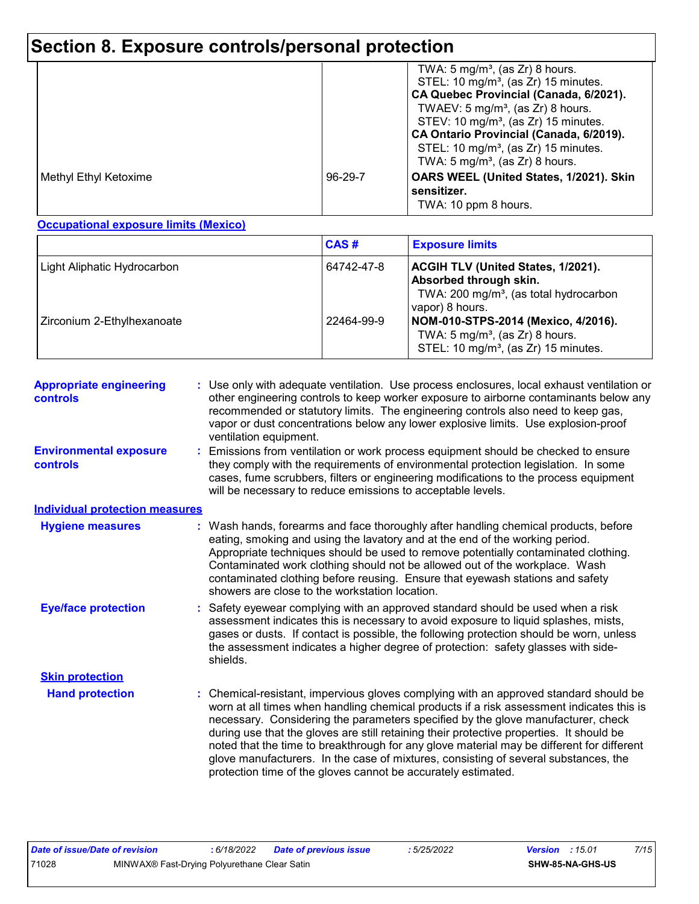# **Section 8. Exposure controls/personal protection**

|                       |         | TWA: $5 \text{ mg/m}^3$ , (as Zr) 8 hours.<br>STEL: 10 mg/m <sup>3</sup> , (as Zr) 15 minutes.<br>CA Quebec Provincial (Canada, 6/2021).<br>TWAEV: $5 \text{ mg/m}^3$ , (as Zr) 8 hours.<br>STEV: 10 mg/m <sup>3</sup> , (as Zr) 15 minutes.<br>CA Ontario Provincial (Canada, 6/2019).<br>STEL: 10 mg/m <sup>3</sup> , (as Zr) 15 minutes.<br>TWA: $5 \text{ mg/m}^3$ , (as Zr) 8 hours. |
|-----------------------|---------|-------------------------------------------------------------------------------------------------------------------------------------------------------------------------------------------------------------------------------------------------------------------------------------------------------------------------------------------------------------------------------------------|
| Methyl Ethyl Ketoxime | 96-29-7 | OARS WEEL (United States, 1/2021). Skin<br>sensitizer.<br>TWA: 10 ppm 8 hours.                                                                                                                                                                                                                                                                                                            |

**Occupational exposure limits (Mexico)**

|                             | CAS#       | <b>Exposure limits</b>                                                                                                                |
|-----------------------------|------------|---------------------------------------------------------------------------------------------------------------------------------------|
| Light Aliphatic Hydrocarbon | 64742-47-8 | ACGIH TLV (United States, 1/2021).<br>Absorbed through skin.<br>TWA: 200 mg/m <sup>3</sup> , (as total hydrocarbon<br>vapor) 8 hours. |
| Zirconium 2-Ethylhexanoate  | 22464-99-9 | NOM-010-STPS-2014 (Mexico, 4/2016).<br>TWA: $5 \text{ mg/m}^3$ , (as Zr) 8 hours.<br>STEL: 10 mg/m <sup>3</sup> , (as Zr) 15 minutes. |

| <b>Appropriate engineering</b><br>controls | : Use only with adequate ventilation. Use process enclosures, local exhaust ventilation or<br>other engineering controls to keep worker exposure to airborne contaminants below any<br>recommended or statutory limits. The engineering controls also need to keep gas,<br>vapor or dust concentrations below any lower explosive limits. Use explosion-proof<br>ventilation equipment.                                                                                                                                                                                                                              |
|--------------------------------------------|----------------------------------------------------------------------------------------------------------------------------------------------------------------------------------------------------------------------------------------------------------------------------------------------------------------------------------------------------------------------------------------------------------------------------------------------------------------------------------------------------------------------------------------------------------------------------------------------------------------------|
| <b>Environmental exposure</b><br>controls  | Emissions from ventilation or work process equipment should be checked to ensure<br>they comply with the requirements of environmental protection legislation. In some<br>cases, fume scrubbers, filters or engineering modifications to the process equipment<br>will be necessary to reduce emissions to acceptable levels.                                                                                                                                                                                                                                                                                        |
| <b>Individual protection measures</b>      |                                                                                                                                                                                                                                                                                                                                                                                                                                                                                                                                                                                                                      |
| <b>Hygiene measures</b>                    | Wash hands, forearms and face thoroughly after handling chemical products, before<br>eating, smoking and using the lavatory and at the end of the working period.<br>Appropriate techniques should be used to remove potentially contaminated clothing.<br>Contaminated work clothing should not be allowed out of the workplace. Wash<br>contaminated clothing before reusing. Ensure that eyewash stations and safety<br>showers are close to the workstation location.                                                                                                                                            |
| <b>Eye/face protection</b>                 | Safety eyewear complying with an approved standard should be used when a risk<br>assessment indicates this is necessary to avoid exposure to liquid splashes, mists,<br>gases or dusts. If contact is possible, the following protection should be worn, unless<br>the assessment indicates a higher degree of protection: safety glasses with side-<br>shields.                                                                                                                                                                                                                                                     |
| <b>Skin protection</b>                     |                                                                                                                                                                                                                                                                                                                                                                                                                                                                                                                                                                                                                      |
| <b>Hand protection</b>                     | Chemical-resistant, impervious gloves complying with an approved standard should be<br>worn at all times when handling chemical products if a risk assessment indicates this is<br>necessary. Considering the parameters specified by the glove manufacturer, check<br>during use that the gloves are still retaining their protective properties. It should be<br>noted that the time to breakthrough for any glove material may be different for different<br>glove manufacturers. In the case of mixtures, consisting of several substances, the<br>protection time of the gloves cannot be accurately estimated. |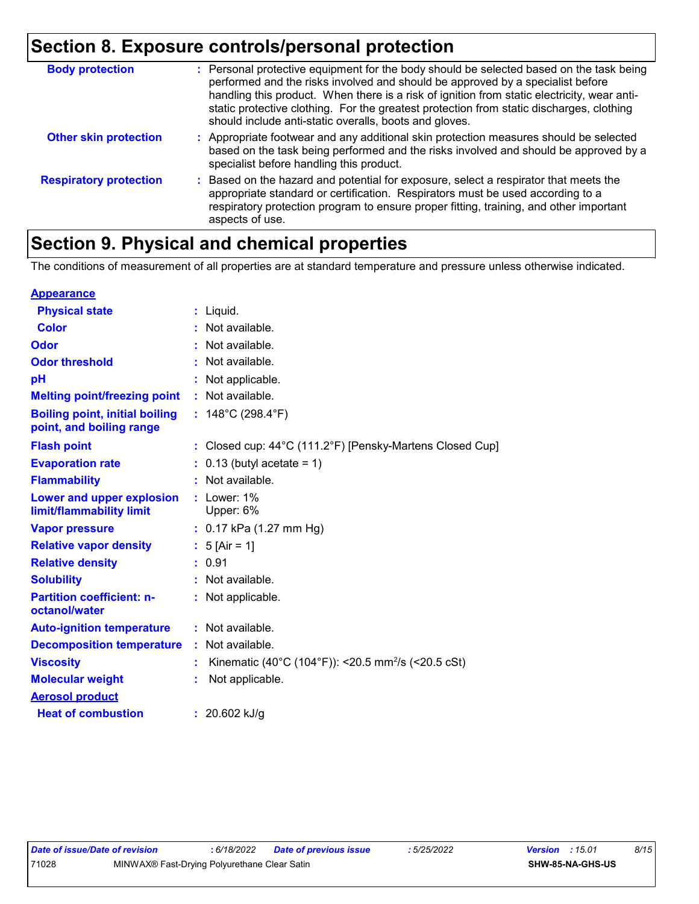# **Section 8. Exposure controls/personal protection**

| <b>Body protection</b>        | : Personal protective equipment for the body should be selected based on the task being<br>performed and the risks involved and should be approved by a specialist before<br>handling this product. When there is a risk of ignition from static electricity, wear anti-<br>static protective clothing. For the greatest protection from static discharges, clothing<br>should include anti-static overalls, boots and gloves. |
|-------------------------------|--------------------------------------------------------------------------------------------------------------------------------------------------------------------------------------------------------------------------------------------------------------------------------------------------------------------------------------------------------------------------------------------------------------------------------|
| <b>Other skin protection</b>  | : Appropriate footwear and any additional skin protection measures should be selected<br>based on the task being performed and the risks involved and should be approved by a<br>specialist before handling this product.                                                                                                                                                                                                      |
| <b>Respiratory protection</b> | : Based on the hazard and potential for exposure, select a respirator that meets the<br>appropriate standard or certification. Respirators must be used according to a<br>respiratory protection program to ensure proper fitting, training, and other important<br>aspects of use.                                                                                                                                            |

# **Section 9. Physical and chemical properties**

The conditions of measurement of all properties are at standard temperature and pressure unless otherwise indicated.

| <b>Appearance</b>                                                 |                                                                |
|-------------------------------------------------------------------|----------------------------------------------------------------|
| <b>Physical state</b>                                             | $:$ Liquid.                                                    |
| <b>Color</b>                                                      | Not available.                                                 |
| Odor                                                              | : Not available.                                               |
| <b>Odor threshold</b>                                             | Not available.                                                 |
| рH                                                                | Not applicable.                                                |
| <b>Melting point/freezing point</b>                               | : Not available.                                               |
| <b>Boiling point, initial boiling</b><br>point, and boiling range | : $148^{\circ}$ C (298.4 $^{\circ}$ F)                         |
| <b>Flash point</b>                                                | : Closed cup: 44°C (111.2°F) [Pensky-Martens Closed Cup]       |
| <b>Evaporation rate</b>                                           | $0.13$ (butyl acetate = 1)                                     |
| <b>Flammability</b>                                               | Not available.                                                 |
| Lower and upper explosion<br>limit/flammability limit             | $:$ Lower: $1\%$<br>Upper: 6%                                  |
| <b>Vapor pressure</b>                                             | $: 0.17$ kPa (1.27 mm Hg)                                      |
| <b>Relative vapor density</b>                                     | : $5$ [Air = 1]                                                |
| <b>Relative density</b>                                           | : 0.91                                                         |
| <b>Solubility</b>                                                 | Not available.                                                 |
| <b>Partition coefficient: n-</b><br>octanol/water                 | : Not applicable.                                              |
| <b>Auto-ignition temperature</b>                                  | : Not available.                                               |
| <b>Decomposition temperature</b>                                  | : Not available.                                               |
| <b>Viscosity</b>                                                  | Kinematic (40°C (104°F)): <20.5 mm <sup>2</sup> /s (<20.5 cSt) |
| <b>Molecular weight</b>                                           | Not applicable.                                                |
| <b>Aerosol product</b>                                            |                                                                |
| <b>Heat of combustion</b>                                         | : $20.602$ kJ/g                                                |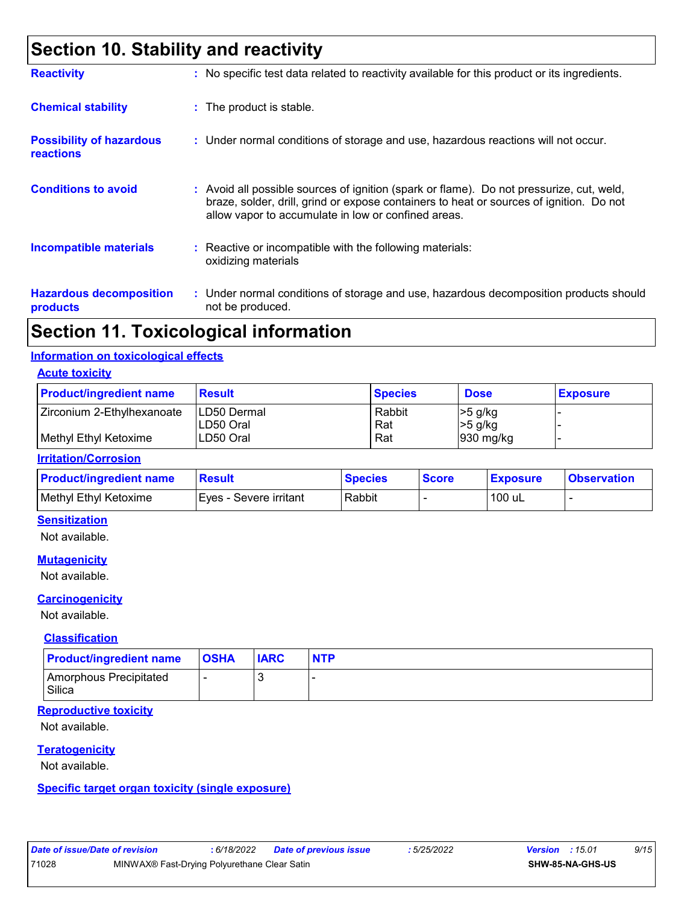# **Section 10. Stability and reactivity**

| <b>Reactivity</b>                                   | : No specific test data related to reactivity available for this product or its ingredients.                                                                                                                                             |
|-----------------------------------------------------|------------------------------------------------------------------------------------------------------------------------------------------------------------------------------------------------------------------------------------------|
| <b>Chemical stability</b>                           | : The product is stable.                                                                                                                                                                                                                 |
| <b>Possibility of hazardous</b><br><b>reactions</b> | : Under normal conditions of storage and use, hazardous reactions will not occur.                                                                                                                                                        |
| <b>Conditions to avoid</b>                          | Avoid all possible sources of ignition (spark or flame). Do not pressurize, cut, weld,<br>braze, solder, drill, grind or expose containers to heat or sources of ignition. Do not<br>allow vapor to accumulate in low or confined areas. |
| <b>Incompatible materials</b>                       | $\therefore$ Reactive or incompatible with the following materials:<br>oxidizing materials                                                                                                                                               |
| <b>Hazardous decomposition</b><br>products          | : Under normal conditions of storage and use, hazardous decomposition products should<br>not be produced.                                                                                                                                |

### **Section 11. Toxicological information**

#### **Information on toxicological effects**

**Acute toxicity**

| <b>Product/ingredient name</b> | <b>Result</b>                     | <b>Species</b> | <b>Dose</b>                | <b>Exposure</b> |
|--------------------------------|-----------------------------------|----------------|----------------------------|-----------------|
| Zirconium 2-Ethylhexanoate     | <b>ILD50 Dermal</b><br>ILD50 Oral | Rabbit<br>Rat  | $>5$ g/kg<br>$\geq 5$ g/kg |                 |
| Methyl Ethyl Ketoxime          | ILD50 Oral                        | Rat            | $930$ mg/kg                |                 |

#### **Irritation/Corrosion**

| <b>Product/ingredient name</b> | Result                 | <b>Species</b> | <b>Score</b> | <b>Exposure</b> | <b>Observation</b> |
|--------------------------------|------------------------|----------------|--------------|-----------------|--------------------|
| Methyl Ethyl Ketoxime          | Eyes - Severe irritant | Rabbit         |              | 100 uL          |                    |

#### **Sensitization**

Not available.

#### **Mutagenicity**

Not available.

#### **Carcinogenicity**

Not available.

#### **Classification**

| <b>Product/ingredient name</b>   | $ $ OSHA | <b>IARC</b> | <b>NTP</b> |
|----------------------------------|----------|-------------|------------|
| Amorphous Precipitated<br>Silica |          |             |            |

#### **Reproductive toxicity**

Not available.

#### **Teratogenicity**

Not available.

#### **Specific target organ toxicity (single exposure)**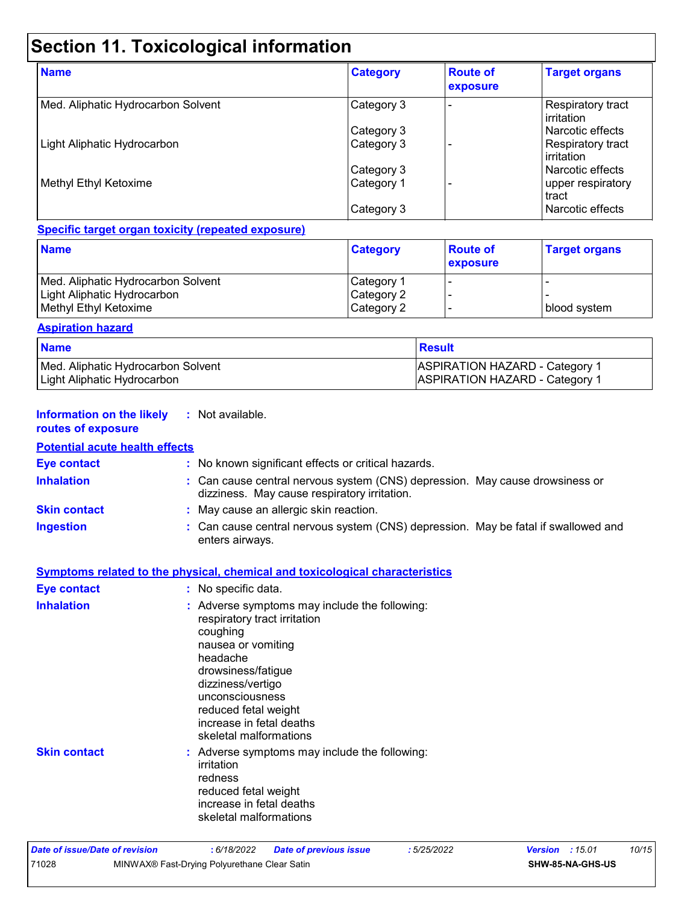# **Section 11. Toxicological information**

| <b>Name</b>                        | <b>Category</b> | <b>Route of</b><br>exposure | <b>Target organs</b>                            |
|------------------------------------|-----------------|-----------------------------|-------------------------------------------------|
| Med. Aliphatic Hydrocarbon Solvent | Category 3      |                             | <b>Respiratory tract</b><br><b>l</b> irritation |
|                                    | Category 3      |                             | l Narcotic effects                              |
| Light Aliphatic Hydrocarbon        | Category 3      |                             | <b>Respiratory tract</b><br><b>lirritation</b>  |
|                                    | Category 3      |                             | l Narcotic effects                              |
| Methyl Ethyl Ketoxime              | Category 1      |                             | upper respiratory<br>l tract                    |
|                                    | Category 3      |                             | l Narcotic effects                              |

#### **Specific target organ toxicity (repeated exposure)**

| <b>Name</b>                        | <b>Category</b> | <b>Route of</b><br>exposure | <b>Target organs</b> |
|------------------------------------|-----------------|-----------------------------|----------------------|
| Med. Aliphatic Hydrocarbon Solvent | Category 1      |                             |                      |
| Light Aliphatic Hydrocarbon        | Category 2      |                             |                      |
| Methyl Ethyl Ketoxime              | Category 2      |                             | I blood svstem.      |

#### **Aspiration hazard**

| <b>Name</b>                        | ⊺Result                               |
|------------------------------------|---------------------------------------|
| Med. Aliphatic Hydrocarbon Solvent | <b>ASPIRATION HAZARD - Category 1</b> |
| Light Aliphatic Hydrocarbon        | <b>ASPIRATION HAZARD - Category 1</b> |

#### **Information on the likely :** Not available. **routes of exposure**

#### **Potential acute health effects**

| <b>Eye contact</b>  | : No known significant effects or critical hazards.                                                                                                                                                                                                                     |
|---------------------|-------------------------------------------------------------------------------------------------------------------------------------------------------------------------------------------------------------------------------------------------------------------------|
| <b>Inhalation</b>   | : Can cause central nervous system (CNS) depression. May cause drowsiness or<br>dizziness. May cause respiratory irritation.                                                                                                                                            |
| <b>Skin contact</b> | : May cause an allergic skin reaction.                                                                                                                                                                                                                                  |
| <b>Ingestion</b>    | : Can cause central nervous system (CNS) depression. May be fatal if swallowed and<br>enters airways.                                                                                                                                                                   |
|                     | <b>Symptoms related to the physical, chemical and toxicological characteristics</b>                                                                                                                                                                                     |
| <b>Eye contact</b>  | : No specific data.                                                                                                                                                                                                                                                     |
| <b>Inhalation</b>   | : Adverse symptoms may include the following:<br>respiratory tract irritation<br>coughing<br>nausea or vomiting<br>headache<br>drowsiness/fatigue<br>dizziness/vertigo<br>unconsciousness<br>reduced fetal weight<br>increase in fetal deaths<br>skeletal malformations |
| <b>Skin contact</b> | : Adverse symptoms may include the following:<br>irritation<br>redness<br>reduced fetal weight<br>increase in fetal deaths<br>skeletal malformations                                                                                                                    |

| Date of issue/Date of revision |                                              | : 6/18/2022 | <b>Date of previous issue</b> | : 5/25/2022 | <b>Version</b> : 15.01 |                         | 10/15 |
|--------------------------------|----------------------------------------------|-------------|-------------------------------|-------------|------------------------|-------------------------|-------|
| 71028                          | MINWAX® Fast-Drying Polyurethane Clear Satin |             |                               |             |                        | <b>SHW-85-NA-GHS-US</b> |       |
|                                |                                              |             |                               |             |                        |                         |       |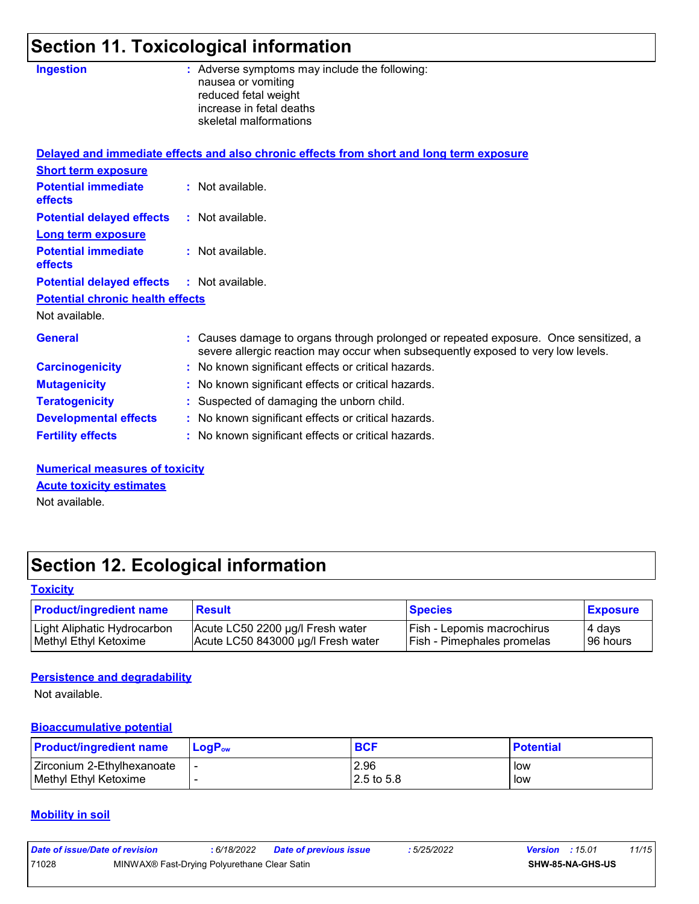# **Section 11. Toxicological information**

| <b>Ingestion</b>                             | : Adverse symptoms may include the following:<br>nausea or vomiting<br>reduced fetal weight<br>increase in fetal deaths<br>skeletal malformations                        |
|----------------------------------------------|--------------------------------------------------------------------------------------------------------------------------------------------------------------------------|
|                                              | Delayed and immediate effects and also chronic effects from short and long term exposure                                                                                 |
| <b>Short term exposure</b>                   |                                                                                                                                                                          |
| <b>Potential immediate</b><br>effects        | : Not available.                                                                                                                                                         |
| <b>Potential delayed effects</b>             | : Not available.                                                                                                                                                         |
| <b>Long term exposure</b>                    |                                                                                                                                                                          |
| <b>Potential immediate</b><br><b>effects</b> | : Not available.                                                                                                                                                         |
| <b>Potential delayed effects</b>             | : Not available.                                                                                                                                                         |
| <b>Potential chronic health effects</b>      |                                                                                                                                                                          |
| Not available.                               |                                                                                                                                                                          |
| <b>General</b>                               | : Causes damage to organs through prolonged or repeated exposure. Once sensitized, a<br>severe allergic reaction may occur when subsequently exposed to very low levels. |
| <b>Carcinogenicity</b>                       | : No known significant effects or critical hazards.                                                                                                                      |
| <b>Mutagenicity</b>                          | : No known significant effects or critical hazards.                                                                                                                      |
| <b>Teratogenicity</b>                        | : Suspected of damaging the unborn child.                                                                                                                                |
| <b>Developmental effects</b>                 | : No known significant effects or critical hazards.                                                                                                                      |
| <b>Fertility effects</b>                     | : No known significant effects or critical hazards.                                                                                                                      |
|                                              |                                                                                                                                                                          |

**Numerical measures of toxicity Acute toxicity estimates**

Not available.

# **Section 12. Ecological information**

#### **Toxicity**

| <b>Product/ingredient name</b> | <b>Result</b>                      | <b>Species</b>                    | <b>Exposure</b> |
|--------------------------------|------------------------------------|-----------------------------------|-----------------|
| Light Aliphatic Hydrocarbon    | Acute LC50 2200 µg/l Fresh water   | Fish - Lepomis macrochirus        | 4 davs          |
| Methyl Ethyl Ketoxime          | Acute LC50 843000 µg/l Fresh water | <b>Fish - Pimephales promelas</b> | 196 hours       |

#### **Persistence and degradability**

Not available.

#### **Bioaccumulative potential**

| <b>Product/ingredient name</b> | <b>LogP</b> <sub>ow</sub> | <b>BCF</b>  | <b>Potential</b> |
|--------------------------------|---------------------------|-------------|------------------|
| Zirconium 2-Ethylhexanoate     |                           | 2.96        | low              |
| Methyl Ethyl Ketoxime          |                           | 12.5 to 5.8 | low              |

#### **Mobility in soil**

| Date of issue/Date of revision |                                              | : 6/18/2022 | <b>Date of previous issue</b> | : 5/25/2022 | <b>Version</b> : 15.01 |                         | 11/15 |
|--------------------------------|----------------------------------------------|-------------|-------------------------------|-------------|------------------------|-------------------------|-------|
| 71028                          | MINWAX® Fast-Drying Polyurethane Clear Satin |             |                               |             |                        | <b>SHW-85-NA-GHS-US</b> |       |
|                                |                                              |             |                               |             |                        |                         |       |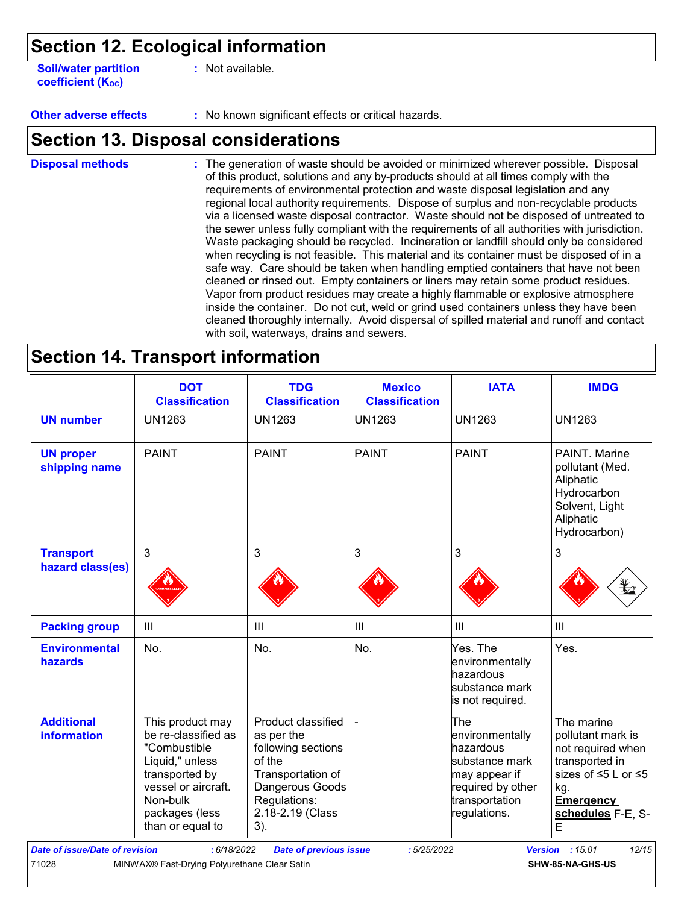### **Section 12. Ecological information**

**Soil/water partition coefficient (KOC)**

**:** Not available.

**Other adverse effects :** No known significant effects or critical hazards.

### **Section 13. Disposal considerations**

The generation of waste should be avoided or minimized wherever possible. Disposal of this product, solutions and any by-products should at all times comply with the requirements of environmental protection and waste disposal legislation and any regional local authority requirements. Dispose of surplus and non-recyclable products via a licensed waste disposal contractor. Waste should not be disposed of untreated to the sewer unless fully compliant with the requirements of all authorities with jurisdiction. Waste packaging should be recycled. Incineration or landfill should only be considered when recycling is not feasible. This material and its container must be disposed of in a safe way. Care should be taken when handling emptied containers that have not been cleaned or rinsed out. Empty containers or liners may retain some product residues. Vapor from product residues may create a highly flammable or explosive atmosphere inside the container. Do not cut, weld or grind used containers unless they have been cleaned thoroughly internally. Avoid dispersal of spilled material and runoff and contact with soil, waterways, drains and sewers. **Disposal methods :**

### **Section 14. Transport information**

|                                         | <b>DOT</b><br><b>Classification</b>                                                                                                                                   | <b>TDG</b><br><b>Classification</b>                                                                                                                 | <b>Mexico</b><br><b>Classification</b> | <b>IATA</b>                                                                                                                   | <b>IMDG</b>                                                                                                                                                    |
|-----------------------------------------|-----------------------------------------------------------------------------------------------------------------------------------------------------------------------|-----------------------------------------------------------------------------------------------------------------------------------------------------|----------------------------------------|-------------------------------------------------------------------------------------------------------------------------------|----------------------------------------------------------------------------------------------------------------------------------------------------------------|
| <b>UN number</b>                        | <b>UN1263</b>                                                                                                                                                         | <b>UN1263</b>                                                                                                                                       | <b>UN1263</b>                          | <b>UN1263</b>                                                                                                                 | <b>UN1263</b>                                                                                                                                                  |
| <b>UN proper</b><br>shipping name       | <b>PAINT</b>                                                                                                                                                          | <b>PAINT</b>                                                                                                                                        | <b>PAINT</b>                           | <b>PAINT</b>                                                                                                                  | PAINT. Marine<br>pollutant (Med.<br>Aliphatic<br>Hydrocarbon<br>Solvent, Light<br>Aliphatic<br>Hydrocarbon)                                                    |
| <b>Transport</b>                        | 3                                                                                                                                                                     | 3                                                                                                                                                   | 3                                      | 3                                                                                                                             | 3                                                                                                                                                              |
| hazard class(es)                        |                                                                                                                                                                       |                                                                                                                                                     |                                        |                                                                                                                               |                                                                                                                                                                |
| <b>Packing group</b>                    | $\mathbf{III}$                                                                                                                                                        | III                                                                                                                                                 | $\ensuremath{\mathsf{III}}\xspace$     | III                                                                                                                           | III                                                                                                                                                            |
| <b>Environmental</b><br>hazards         | No.                                                                                                                                                                   | No.                                                                                                                                                 | No.                                    | Yes. The<br>environmentally<br>hazardous<br>substance mark<br>is not required.                                                | Yes.                                                                                                                                                           |
| <b>Additional</b><br><b>information</b> | This product may<br>be re-classified as<br>"Combustible<br>Liquid," unless<br>transported by<br>vessel or aircraft.<br>Non-bulk<br>packages (less<br>than or equal to | Product classified<br>as per the<br>following sections<br>of the<br>Transportation of<br>Dangerous Goods<br>Regulations:<br>2.18-2.19 (Class<br>3). |                                        | The<br>environmentally<br>hazardous<br>substance mark<br>may appear if<br>required by other<br>transportation<br>regulations. | The marine<br>pollutant mark is<br>not required when<br>transported in<br>sizes of $\leq$ 5 L or $\leq$ 5<br>kg.<br><b>Emergency</b><br>schedules F-E, S-<br>E |
| <b>Date of issue/Date of revision</b>   | : 6/18/2022                                                                                                                                                           | <b>Date of previous issue</b>                                                                                                                       | :5/25/2022                             |                                                                                                                               | <b>Version</b> : 15.01<br>12/15                                                                                                                                |
| 71028                                   | MINWAX® Fast-Drying Polyurethane Clear Satin                                                                                                                          |                                                                                                                                                     |                                        |                                                                                                                               | SHW-85-NA-GHS-US                                                                                                                                               |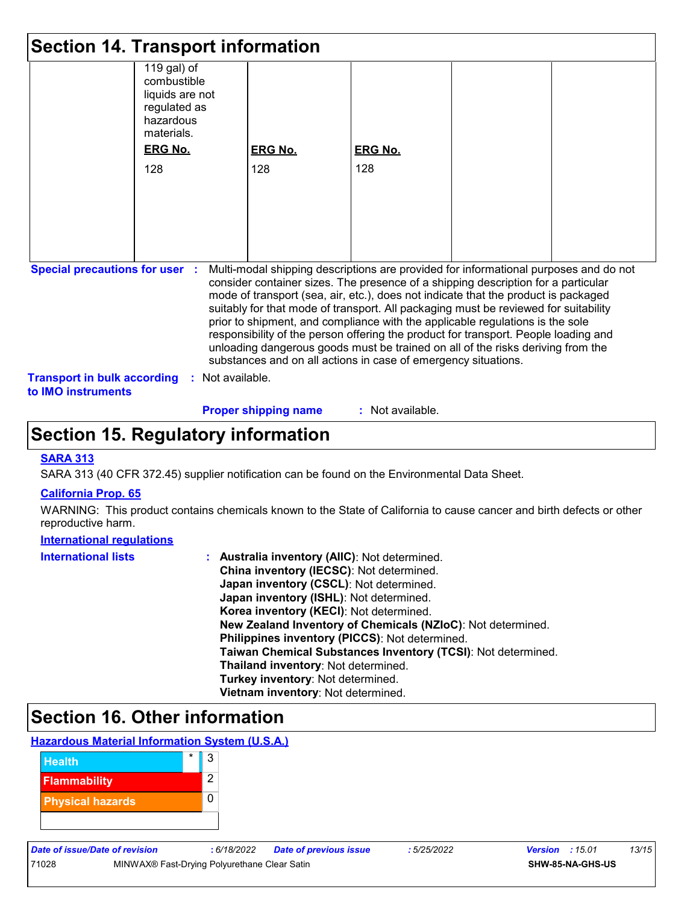|                                                                 | <b>Section 14. Transport information</b>                                                 |                                                                                                                                                                                                                                                                                                                                                                                                                                                                                                                                                                                                                                                                                     |                |  |
|-----------------------------------------------------------------|------------------------------------------------------------------------------------------|-------------------------------------------------------------------------------------------------------------------------------------------------------------------------------------------------------------------------------------------------------------------------------------------------------------------------------------------------------------------------------------------------------------------------------------------------------------------------------------------------------------------------------------------------------------------------------------------------------------------------------------------------------------------------------------|----------------|--|
|                                                                 | 119 gal) of<br>combustible<br>liquids are not<br>regulated as<br>hazardous<br>materials. |                                                                                                                                                                                                                                                                                                                                                                                                                                                                                                                                                                                                                                                                                     |                |  |
|                                                                 | <b>ERG No.</b>                                                                           | <b>ERG No.</b>                                                                                                                                                                                                                                                                                                                                                                                                                                                                                                                                                                                                                                                                      | <b>ERG No.</b> |  |
|                                                                 | 128                                                                                      | 128                                                                                                                                                                                                                                                                                                                                                                                                                                                                                                                                                                                                                                                                                 | 128            |  |
|                                                                 |                                                                                          |                                                                                                                                                                                                                                                                                                                                                                                                                                                                                                                                                                                                                                                                                     |                |  |
|                                                                 |                                                                                          |                                                                                                                                                                                                                                                                                                                                                                                                                                                                                                                                                                                                                                                                                     |                |  |
|                                                                 |                                                                                          |                                                                                                                                                                                                                                                                                                                                                                                                                                                                                                                                                                                                                                                                                     |                |  |
|                                                                 |                                                                                          |                                                                                                                                                                                                                                                                                                                                                                                                                                                                                                                                                                                                                                                                                     |                |  |
|                                                                 |                                                                                          |                                                                                                                                                                                                                                                                                                                                                                                                                                                                                                                                                                                                                                                                                     |                |  |
|                                                                 |                                                                                          |                                                                                                                                                                                                                                                                                                                                                                                                                                                                                                                                                                                                                                                                                     |                |  |
| <b>Special precautions for user :</b>                           |                                                                                          | Multi-modal shipping descriptions are provided for informational purposes and do not<br>consider container sizes. The presence of a shipping description for a particular<br>mode of transport (sea, air, etc.), does not indicate that the product is packaged<br>suitably for that mode of transport. All packaging must be reviewed for suitability<br>prior to shipment, and compliance with the applicable regulations is the sole<br>responsibility of the person offering the product for transport. People loading and<br>unloading dangerous goods must be trained on all of the risks deriving from the<br>substances and on all actions in case of emergency situations. |                |  |
| <b>Transport in bulk according</b><br>to <b>IMO</b> instruments | : Not available.                                                                         |                                                                                                                                                                                                                                                                                                                                                                                                                                                                                                                                                                                                                                                                                     |                |  |

#### **Proper shipping name :**

: Not available.

### **Section 15. Regulatory information**

#### **SARA 313**

SARA 313 (40 CFR 372.45) supplier notification can be found on the Environmental Data Sheet.

#### **California Prop. 65**

WARNING: This product contains chemicals known to the State of California to cause cancer and birth defects or other reproductive harm.

#### **International regulations**

| <b>International lists</b> | <b>Australia inventory (AIIC): Not determined.</b>           |
|----------------------------|--------------------------------------------------------------|
|                            | China inventory (IECSC): Not determined.                     |
|                            | Japan inventory (CSCL): Not determined.                      |
|                            | Japan inventory (ISHL): Not determined.                      |
|                            | Korea inventory (KECI): Not determined.                      |
|                            | New Zealand Inventory of Chemicals (NZIoC): Not determined.  |
|                            | Philippines inventory (PICCS): Not determined.               |
|                            | Taiwan Chemical Substances Inventory (TCSI): Not determined. |
|                            | Thailand inventory: Not determined.                          |
|                            | Turkey inventory: Not determined.                            |
|                            | Vietnam inventory: Not determined.                           |

# **Section 16. Other information**



71028 MINWAX® Fast-Drying Polyurethane Clear Satin **SHW-85-NA-GHS-US**